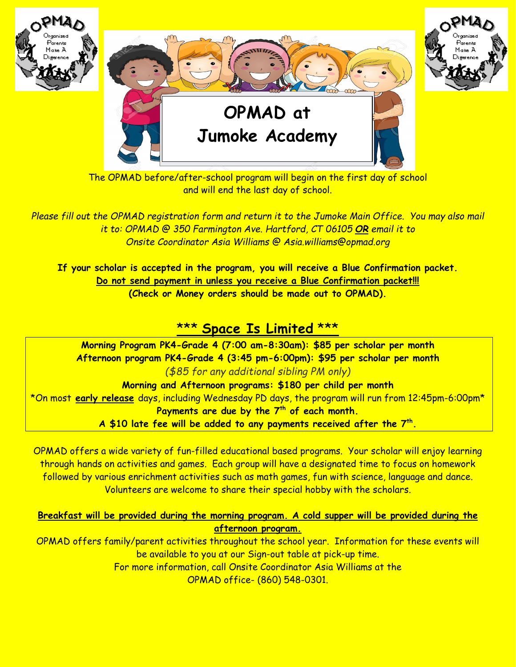

The OPMAD before/after-school program will begin on the first day of school and will end the last day of school.

*Please fill out the OPMAD registration form and return it to the Jumoke Main Office. You may also mail it to: OPMAD @ 350 Farmington Ave. Hartford, CT 06105 OR email it to Onsite Coordinator Asia Williams @ Asia.williams@opmad.org*

**If your scholar is accepted in the program, you will receive a Blue Confirmation packet. Do not send payment in unless you receive a Blue Confirmation packet!!! (Check or Money orders should be made out to OPMAD).**

## \*\*\* **Space Is Limited** \*\*\*

**Morning Program PK4-Grade 4 (7:00 am-8:30am): \$85 per scholar per month Afternoon program PK4-Grade 4 (3:45 pm-6:00pm): \$95 per scholar per month** *(\$85 for any additional sibling PM only)* 

**Morning and Afternoon programs: \$180 per child per month** \*On most **early release** days, including Wednesday PD days, the program will run from 12:45pm-6:00pm\* Payments are due by the 7<sup>th</sup> of each month. A \$10 late fee will be added to any payments received after the 7<sup>th</sup>.

OPMAD offers a wide variety of fun-filled educational based programs. Your scholar will enjoy learning through hands on activities and games. Each group will have a designated time to focus on homework followed by various enrichment activities such as math games, fun with science, language and dance. Volunteers are welcome to share their special hobby with the scholars.

**Breakfast will be provided during the morning program. A cold supper will be provided during the afternoon program.**

OPMAD offers family/parent activities throughout the school year. Information for these events will be available to you at our Sign-out table at pick-up time. For more information, call Onsite Coordinator Asia Williams at the

OPMAD office- (860) 548-0301.